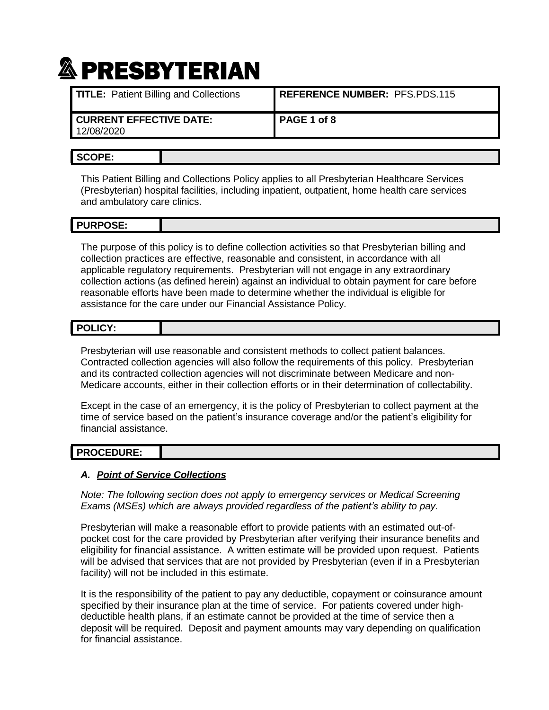| <b>TITLE:</b> Patient Billing and Collections | REFERENCE NUMBER: PFS.PDS.115 |
|-----------------------------------------------|-------------------------------|
| I CURRENT EFFECTIVE DATE:<br>12/08/2020       | PAGE 1 of 8                   |

### **SCOPE:**

This Patient Billing and Collections Policy applies to all Presbyterian Healthcare Services (Presbyterian) hospital facilities, including inpatient, outpatient, home health care services and ambulatory care clinics.

#### **PURPOSE:**

The purpose of this policy is to define collection activities so that Presbyterian billing and collection practices are effective, reasonable and consistent, in accordance with all applicable regulatory requirements. Presbyterian will not engage in any extraordinary collection actions (as defined herein) against an individual to obtain payment for care before reasonable efforts have been made to determine whether the individual is eligible for assistance for the care under our Financial Assistance Policy.

| POLICY: |  |
|---------|--|
|         |  |

Presbyterian will use reasonable and consistent methods to collect patient balances. Contracted collection agencies will also follow the requirements of this policy. Presbyterian and its contracted collection agencies will not discriminate between Medicare and non-Medicare accounts, either in their collection efforts or in their determination of collectability.

Except in the case of an emergency, it is the policy of Presbyterian to collect payment at the time of service based on the patient's insurance coverage and/or the patient's eligibility for financial assistance.

# **PROCEDURE:**

#### *A. Point of Service Collections*

*Note: The following section does not apply to emergency services or Medical Screening Exams (MSEs) which are always provided regardless of the patient's ability to pay.*

Presbyterian will make a reasonable effort to provide patients with an estimated out-ofpocket cost for the care provided by Presbyterian after verifying their insurance benefits and eligibility for financial assistance. A written estimate will be provided upon request. Patients will be advised that services that are not provided by Presbyterian (even if in a Presbyterian facility) will not be included in this estimate.

It is the responsibility of the patient to pay any deductible, copayment or coinsurance amount specified by their insurance plan at the time of service. For patients covered under highdeductible health plans, if an estimate cannot be provided at the time of service then a deposit will be required. Deposit and payment amounts may vary depending on qualification for financial assistance.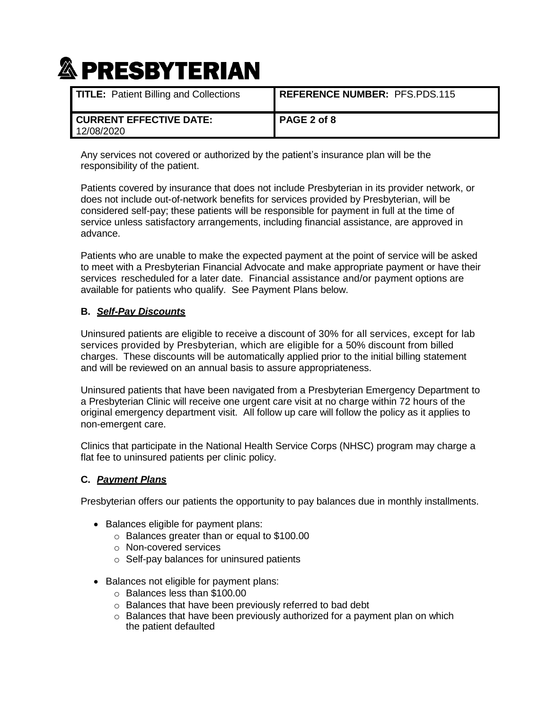| <b>TITLE:</b> Patient Billing and Collections  | <b>REFERENCE NUMBER: PFS.PDS.115</b> |
|------------------------------------------------|--------------------------------------|
| <b>I CURRENT EFFECTIVE DATE:</b><br>12/08/2020 | PAGE 2 of 8                          |

Any services not covered or authorized by the patient's insurance plan will be the responsibility of the patient.

Patients covered by insurance that does not include Presbyterian in its provider network, or does not include out-of-network benefits for services provided by Presbyterian, will be considered self-pay; these patients will be responsible for payment in full at the time of service unless satisfactory arrangements, including financial assistance, are approved in advance.

Patients who are unable to make the expected payment at the point of service will be asked to meet with a Presbyterian Financial Advocate and make appropriate payment or have their services rescheduled for a later date. Financial assistance and/or payment options are available for patients who qualify. See Payment Plans below.

### **B.** *Self-Pay Discounts*

Uninsured patients are eligible to receive a discount of 30% for all services, except for lab services provided by Presbyterian, which are eligible for a 50% discount from billed charges. These discounts will be automatically applied prior to the initial billing statement and will be reviewed on an annual basis to assure appropriateness.

Uninsured patients that have been navigated from a Presbyterian Emergency Department to a Presbyterian Clinic will receive one urgent care visit at no charge within 72 hours of the original emergency department visit. All follow up care will follow the policy as it applies to non-emergent care.

Clinics that participate in the National Health Service Corps (NHSC) program may charge a flat fee to uninsured patients per clinic policy.

#### **C.** *Payment Plans*

Presbyterian offers our patients the opportunity to pay balances due in monthly installments.

- Balances eligible for payment plans:
	- o Balances greater than or equal to \$100.00
	- o Non-covered services
	- o Self-pay balances for uninsured patients
- Balances not eligible for payment plans:
	- o Balances less than \$100.00
	- o Balances that have been previously referred to bad debt
	- o Balances that have been previously authorized for a payment plan on which the patient defaulted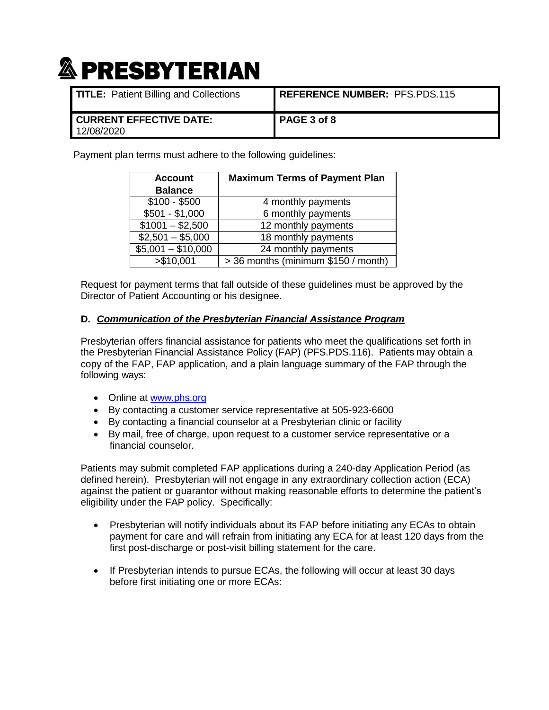| <b>TITLE:</b> Patient Billing and Collections  | <b>REFERENCE NUMBER: PFS.PDS.115</b> |
|------------------------------------------------|--------------------------------------|
| <b>I CURRENT EFFECTIVE DATE:</b><br>12/08/2020 | l PAGE 3 of 8                        |

Payment plan terms must adhere to the following guidelines:

| <b>Account</b>     | <b>Maximum Terms of Payment Plan</b> |
|--------------------|--------------------------------------|
| <b>Balance</b>     |                                      |
| $$100 - $500$      | 4 monthly payments                   |
| $$501 - $1,000$    | 6 monthly payments                   |
| $$1001 - $2,500$   | 12 monthly payments                  |
| $$2,501 - $5,000$  | 18 monthly payments                  |
| $$5,001 - $10,000$ | 24 monthly payments                  |
| > \$10,001         | > 36 months (minimum \$150 / month)  |

Request for payment terms that fall outside of these guidelines must be approved by the Director of Patient Accounting or his designee.

#### **D.** *Communication of the Presbyterian Financial Assistance Program*

Presbyterian offers financial assistance for patients who meet the qualifications set forth in the Presbyterian Financial Assistance Policy (FAP) (PFS.PDS.116). Patients may obtain a copy of the FAP, FAP application, and a plain language summary of the FAP through the following ways:

- Online at [www.phs.org](http://www.phs.org/)
- By contacting a customer service representative at 505-923-6600
- By contacting a financial counselor at a Presbyterian clinic or facility
- By mail, free of charge, upon request to a customer service representative or a financial counselor.

Patients may submit completed FAP applications during a 240-day Application Period (as defined herein). Presbyterian will not engage in any extraordinary collection action (ECA) against the patient or guarantor without making reasonable efforts to determine the patient's eligibility under the FAP policy. Specifically:

- Presbyterian will notify individuals about its FAP before initiating any ECAs to obtain payment for care and will refrain from initiating any ECA for at least 120 days from the first post-discharge or post-visit billing statement for the care.
- If Presbyterian intends to pursue ECAs, the following will occur at least 30 days before first initiating one or more ECAs: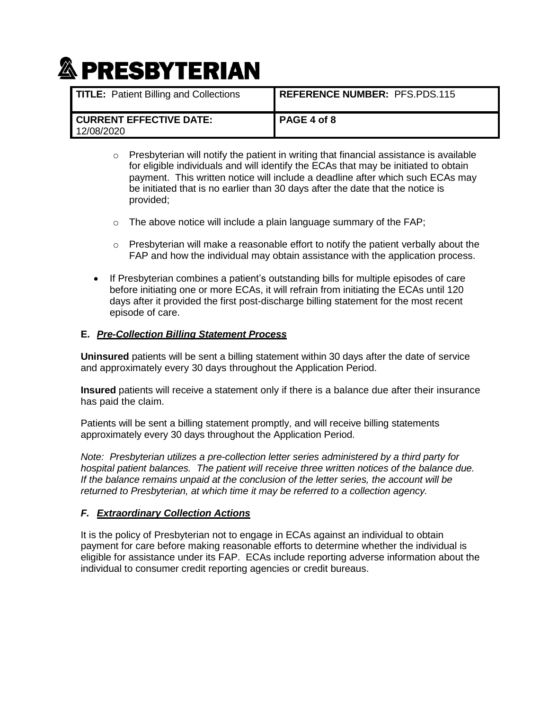| <b>TITLE:</b> Patient Billing and Collections  | <b>REFERENCE NUMBER: PFS.PDS.115</b> |
|------------------------------------------------|--------------------------------------|
| <b>I CURRENT EFFECTIVE DATE:</b><br>12/08/2020 | PAGE 4 of 8                          |

- $\circ$  Presbyterian will notify the patient in writing that financial assistance is available for eligible individuals and will identify the ECAs that may be initiated to obtain payment. This written notice will include a deadline after which such ECAs may be initiated that is no earlier than 30 days after the date that the notice is provided;
- $\circ$  The above notice will include a plain language summary of the FAP;
- $\circ$  Presbyterian will make a reasonable effort to notify the patient verbally about the FAP and how the individual may obtain assistance with the application process.
- If Presbyterian combines a patient's outstanding bills for multiple episodes of care before initiating one or more ECAs, it will refrain from initiating the ECAs until 120 days after it provided the first post-discharge billing statement for the most recent episode of care.

### **E.** *Pre-Collection Billing Statement Process*

**Uninsured** patients will be sent a billing statement within 30 days after the date of service and approximately every 30 days throughout the Application Period.

**Insured** patients will receive a statement only if there is a balance due after their insurance has paid the claim.

Patients will be sent a billing statement promptly, and will receive billing statements approximately every 30 days throughout the Application Period.

*Note: Presbyterian utilizes a pre-collection letter series administered by a third party for hospital patient balances. The patient will receive three written notices of the balance due. If the balance remains unpaid at the conclusion of the letter series, the account will be returned to Presbyterian, at which time it may be referred to a collection agency.*

### *F. Extraordinary Collection Actions*

It is the policy of Presbyterian not to engage in ECAs against an individual to obtain payment for care before making reasonable efforts to determine whether the individual is eligible for assistance under its FAP. ECAs include reporting adverse information about the individual to consumer credit reporting agencies or credit bureaus.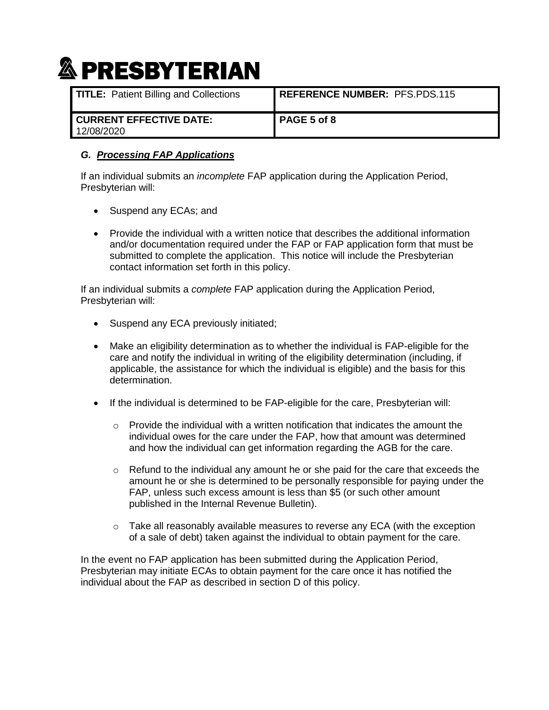| <b>TITLE:</b> Patient Billing and Collections | <b>REFERENCE NUMBER: PFS.PDS.115</b> |
|-----------------------------------------------|--------------------------------------|
| <b>CURRENT EFFECTIVE DATE:</b><br>12/08/2020  | l PAGE 5 of 8                        |

## *G. Processing FAP Applications*

If an individual submits an *incomplete* FAP application during the Application Period, Presbyterian will:

- Suspend any ECAs; and
- Provide the individual with a written notice that describes the additional information and/or documentation required under the FAP or FAP application form that must be submitted to complete the application. This notice will include the Presbyterian contact information set forth in this policy.

If an individual submits a *complete* FAP application during the Application Period, Presbyterian will:

- Suspend any ECA previously initiated;
- Make an eligibility determination as to whether the individual is FAP-eligible for the care and notify the individual in writing of the eligibility determination (including, if applicable, the assistance for which the individual is eligible) and the basis for this determination.
- If the individual is determined to be FAP-eligible for the care, Presbyterian will:
	- $\circ$  Provide the individual with a written notification that indicates the amount the individual owes for the care under the FAP, how that amount was determined and how the individual can get information regarding the AGB for the care.
	- $\circ$  Refund to the individual any amount he or she paid for the care that exceeds the amount he or she is determined to be personally responsible for paying under the FAP, unless such excess amount is less than \$5 (or such other amount published in the Internal Revenue Bulletin).
	- $\circ$  Take all reasonably available measures to reverse any ECA (with the exception of a sale of debt) taken against the individual to obtain payment for the care.

In the event no FAP application has been submitted during the Application Period, Presbyterian may initiate ECAs to obtain payment for the care once it has notified the individual about the FAP as described in section D of this policy.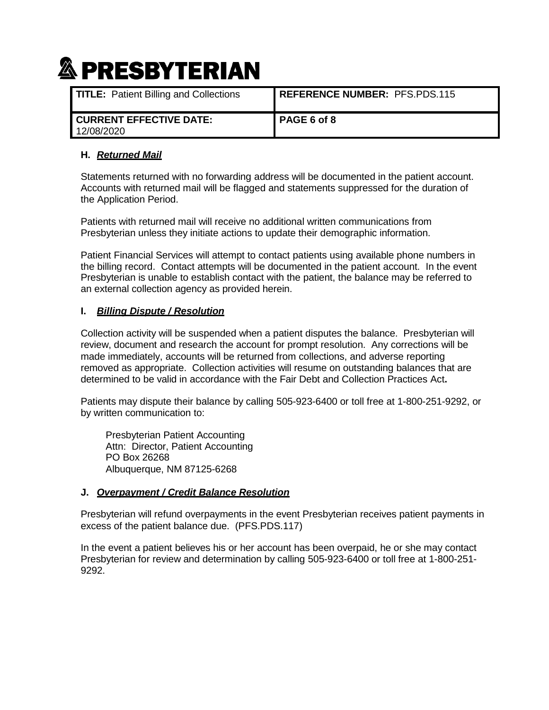| <b>TITLE:</b> Patient Billing and Collections | REFERENCE NUMBER: PFS.PDS.115 |
|-----------------------------------------------|-------------------------------|
| <b>CURRENT EFFECTIVE DATE:</b><br>12/08/2020  | I PAGE 6 of 8                 |

### **H.** *Returned Mail*

Statements returned with no forwarding address will be documented in the patient account. Accounts with returned mail will be flagged and statements suppressed for the duration of the Application Period.

Patients with returned mail will receive no additional written communications from Presbyterian unless they initiate actions to update their demographic information.

Patient Financial Services will attempt to contact patients using available phone numbers in the billing record. Contact attempts will be documented in the patient account. In the event Presbyterian is unable to establish contact with the patient, the balance may be referred to an external collection agency as provided herein.

### **I.** *Billing Dispute / Resolution*

Collection activity will be suspended when a patient disputes the balance. Presbyterian will review, document and research the account for prompt resolution. Any corrections will be made immediately, accounts will be returned from collections, and adverse reporting removed as appropriate. Collection activities will resume on outstanding balances that are determined to be valid in accordance with the Fair Debt and Collection Practices Act**.**

Patients may dispute their balance by calling 505-923-6400 or toll free at 1-800-251-9292, or by written communication to:

Presbyterian Patient Accounting Attn: Director, Patient Accounting PO Box 26268 Albuquerque, NM 87125-6268

#### **J.** *Overpayment / Credit Balance Resolution*

Presbyterian will refund overpayments in the event Presbyterian receives patient payments in excess of the patient balance due. (PFS.PDS.117)

In the event a patient believes his or her account has been overpaid, he or she may contact Presbyterian for review and determination by calling 505-923-6400 or toll free at 1-800-251- 9292.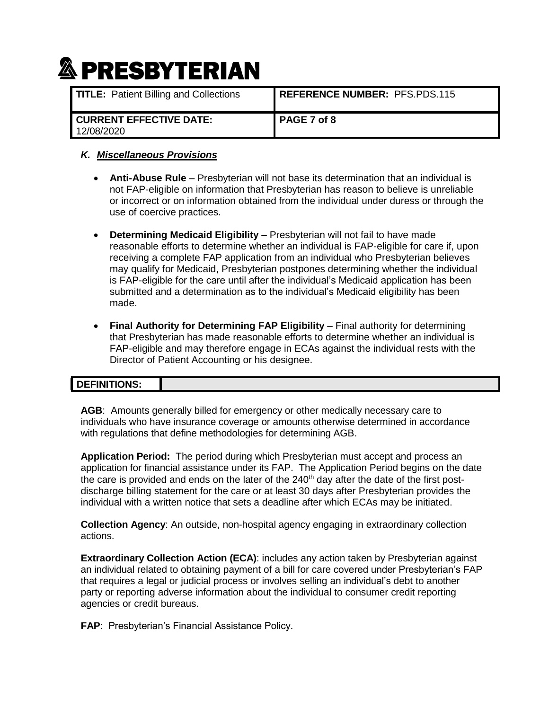| <b>TITLE:</b> Patient Billing and Collections  | <b>REFERENCE NUMBER: PFS.PDS.115</b> |
|------------------------------------------------|--------------------------------------|
| <b>I CURRENT EFFECTIVE DATE:</b><br>12/08/2020 | PAGE 7 of 8                          |

## *K. Miscellaneous Provisions*

- **Anti-Abuse Rule** Presbyterian will not base its determination that an individual is not FAP-eligible on information that Presbyterian has reason to believe is unreliable or incorrect or on information obtained from the individual under duress or through the use of coercive practices.
- **Determining Medicaid Eligibility**  Presbyterian will not fail to have made reasonable efforts to determine whether an individual is FAP-eligible for care if, upon receiving a complete FAP application from an individual who Presbyterian believes may qualify for Medicaid, Presbyterian postpones determining whether the individual is FAP-eligible for the care until after the individual's Medicaid application has been submitted and a determination as to the individual's Medicaid eligibility has been made.
- **Final Authority for Determining FAP Eligibility Final authority for determining** that Presbyterian has made reasonable efforts to determine whether an individual is FAP-eligible and may therefore engage in ECAs against the individual rests with the Director of Patient Accounting or his designee.

#### **DEFINITIONS:**

**AGB**: Amounts generally billed for emergency or other medically necessary care to individuals who have insurance coverage or amounts otherwise determined in accordance with regulations that define methodologies for determining AGB.

**Application Period:** The period during which Presbyterian must accept and process an application for financial assistance under its FAP. The Application Period begins on the date the care is provided and ends on the later of the  $240<sup>th</sup>$  day after the date of the first postdischarge billing statement for the care or at least 30 days after Presbyterian provides the individual with a written notice that sets a deadline after which ECAs may be initiated.

**Collection Agency**: An outside, non-hospital agency engaging in extraordinary collection actions.

**Extraordinary Collection Action (ECA)**: includes any action taken by Presbyterian against an individual related to obtaining payment of a bill for care covered under Presbyterian's FAP that requires a legal or judicial process or involves selling an individual's debt to another party or reporting adverse information about the individual to consumer credit reporting agencies or credit bureaus.

**FAP**: Presbyterian's Financial Assistance Policy.